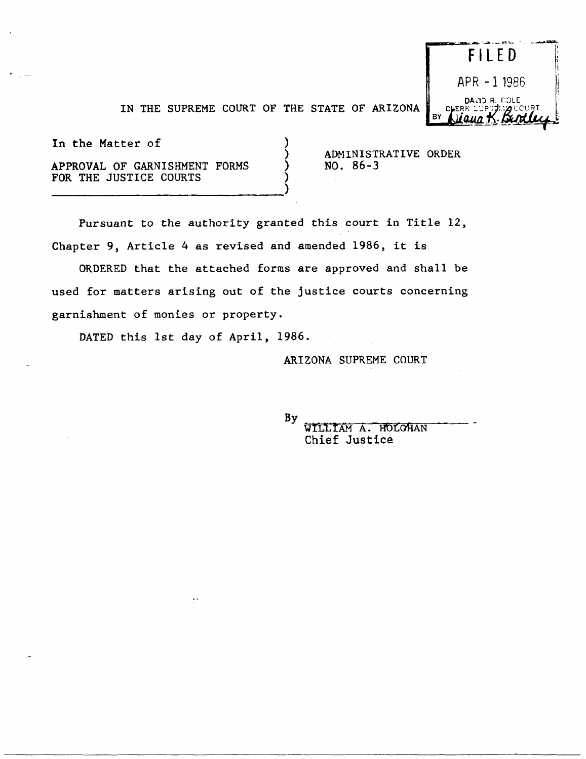

IN THE SUPREME COURT OF THE STATE OF ARIZONA  $\Big|_{\rm BV}$ 

) ) ) )

In the Matter of

APPROVAL OF GARNISHMENT FORMS FOR THE JUSTICE COURTS

-----------------------------)

ADHINISTRATIVE ORDER NO. 86-3

Pursuant to the authority granted this court in Title 12, Chapter 9, Article 4 as revised and amended 1986, it is

ORDERED that the attached forms are approved and shall be used for matters arising out of the justice courts concerning garnishment of monies or property.

DATED this 1st day of April, 1986.

 $\mathbf{A}$ 

ARIZONA SUPREME COURT

By

WILLIAM A. HOLOHAN Chief Justice